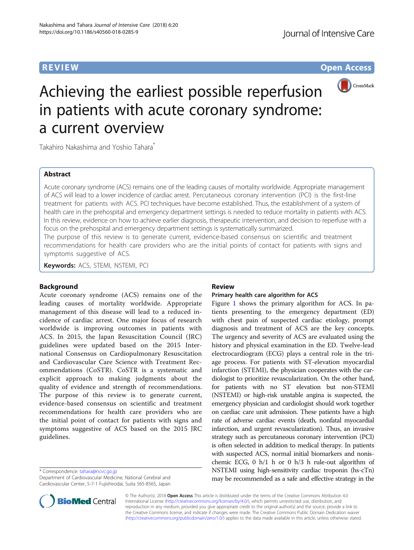**REVIEW CONSTRUCTION CONSTRUCTION CONSTRUCTS** 



Achieving the earliest possible reperfusion in patients with acute coronary syndrome: a current overview

Takahiro Nakashima and Yoshio Tahara<sup>\*</sup>

## Abstract

Acute coronary syndrome (ACS) remains one of the leading causes of mortality worldwide. Appropriate management of ACS will lead to a lower incidence of cardiac arrest. Percutaneous coronary intervention (PCI) is the first-line treatment for patients with ACS. PCI techniques have become established. Thus, the establishment of a system of health care in the prehospital and emergency department settings is needed to reduce mortality in patients with ACS. In this review, evidence on how to achieve earlier diagnosis, therapeutic intervention, and decision to reperfuse with a focus on the prehospital and emergency department settings is systematically summarized.

The purpose of this review is to generate current, evidence-based consensus on scientific and treatment recommendations for health care providers who are the initial points of contact for patients with signs and symptoms suggestive of ACS.

Keywords: ACS, STEMI, NSTEMI, PCI

## Background

Acute coronary syndrome (ACS) remains one of the leading causes of mortality worldwide. Appropriate management of this disease will lead to a reduced incidence of cardiac arrest. One major focus of research worldwide is improving outcomes in patients with ACS. In 2015, the Japan Resuscitation Council (JRC) guidelines were updated based on the 2015 International Consensus on Cardiopulmonary Resuscitation and Cardiovascular Care Science with Treatment Recommendations (CoSTR). CoSTR is a systematic and explicit approach to making judgments about the quality of evidence and strength of recommendations. The purpose of this review is to generate current, evidence-based consensus on scientific and treatment recommendations for health care providers who are the initial point of contact for patients with signs and symptoms suggestive of ACS based on the 2015 JRC guidelines.

\* Correspondence: [tahara@ncvc.go.jp](mailto:tahara@ncvc.go.jp)

Department of Cardiovascular Medicine, National Cerebral and Cardiovascular Center, 5-7-1 Fujishirodai, Suita 565-8565, Japan

## Review

## Primary health care algorithm for ACS

Figure [1](#page-1-0) shows the primary algorithm for ACS. In patients presenting to the emergency department (ED) with chest pain of suspected cardiac etiology, prompt diagnosis and treatment of ACS are the key concepts. The urgency and severity of ACS are evaluated using the history and physical examination in the ED. Twelve-lead electrocardiogram (ECG) plays a central role in the triage process. For patients with ST-elevation myocardial infarction (STEMI), the physician cooperates with the cardiologist to prioritize revascularization. On the other hand, for patients with no ST elevation but non-STEMI (NSTEMI) or high-risk unstable angina is suspected, the emergency physician and cardiologist should work together on cardiac care unit admission. These patients have a high rate of adverse cardiac events (death, nonfatal myocardial infarction, and urgent revascularization). Thus, an invasive strategy such as percutaneous coronary intervention (PCI) is often selected in addition to medical therapy. In patients with suspected ACS, normal initial biomarkers and nonischemic ECG, 0 h/1 h or 0 h/3 h rule-out algorithm of NSTEMI using high-sensitivity cardiac troponin (hs-cTn) may be recommended as a safe and effective strategy in the



© The Author(s). 2018 **Open Access** This article is distributed under the terms of the Creative Commons Attribution 4.0 International License [\(http://creativecommons.org/licenses/by/4.0/](http://creativecommons.org/licenses/by/4.0/)), which permits unrestricted use, distribution, and reproduction in any medium, provided you give appropriate credit to the original author(s) and the source, provide a link to the Creative Commons license, and indicate if changes were made. The Creative Commons Public Domain Dedication waiver [\(http://creativecommons.org/publicdomain/zero/1.0/](http://creativecommons.org/publicdomain/zero/1.0/)) applies to the data made available in this article, unless otherwise stated.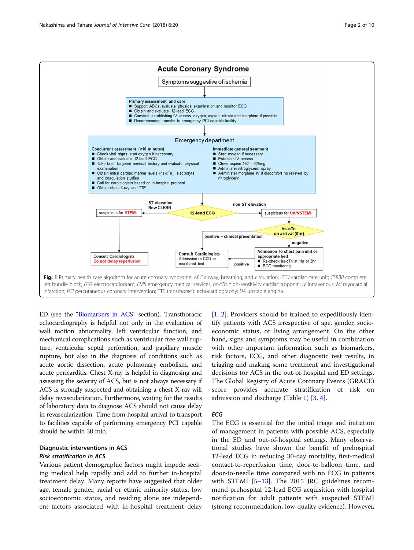<span id="page-1-0"></span>

ED (see the "[Biomarkers in ACS](#page-2-0)" section). Transthoracic echocardiography is helpful not only in the evaluation of wall motion abnormality, left ventricular function, and mechanical complications such as ventricular free wall rupture, ventricular septal perforation, and papillary muscle rupture, but also in the diagnosis of conditions such as acute aortic dissection, acute pulmonary embolism, and acute pericarditis. Chest X-ray is helpful in diagnosing and assessing the severity of ACS, but is not always necessary if ACS is strongly suspected and obtaining a chest X-ray will delay revascularization. Furthermore, waiting for the results of laboratory data to diagnose ACS should not cause delay in revascularization. Time from hospital arrival to transport to facilities capable of performing emergency PCI capable should be within 30 min.

# Diagnostic interventions in ACS

## Risk stratification in ACS

Various patient demographic factors might impede seeking medical help rapidly and add to further in-hospital treatment delay. Many reports have suggested that older age, female gender, racial or ethnic minority status, low socioeconomic status, and residing alone are independent factors associated with in-hospital treatment delay

[[1,](#page-7-0) [2](#page-7-0)]. Providers should be trained to expeditiously identify patients with ACS irrespective of age, gender, socioeconomic status, or living arrangement. On the other hand, signs and symptoms may be useful in combination with other important information such as biomarkers, risk factors, ECG, and other diagnostic test results, in triaging and making some treatment and investigational decisions for ACS in the out-of-hospital and ED settings. The Global Registry of Acute Coronary Events (GRACE) score provides accurate stratification of risk on admission and discharge (Table [1](#page-2-0)) [[3](#page-7-0), [4](#page-7-0)].

## ECG

The ECG is essential for the initial triage and initiation of management in patients with possible ACS, especially in the ED and out-of-hospital settings. Many observational studies have shown the benefit of prehospital 12-lead ECG in reducing 30-day mortality, first-medical contact-to-reperfusion time, door-to-balloon time, and door-to-needle time compared with no ECG in patients with STEMI [\[5](#page-7-0)–[13](#page-7-0)]. The 2015 JRC guidelines recommend prehospital 12-lead ECG acquisition with hospital notification for adult patients with suspected STEMI (strong recommendation, low-quality evidence). However,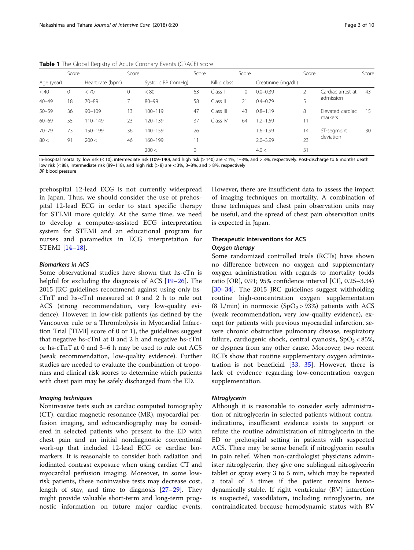<span id="page-2-0"></span>Table 1 The Global Registry of Acute Coronary Events (GRACE) score

|            | Score |                  | Score |                    | Score       |              | Score |                    | Score |                                | Score |
|------------|-------|------------------|-------|--------------------|-------------|--------------|-------|--------------------|-------|--------------------------------|-------|
| Age (year) |       | Heart rate (bpm) |       | Systolic BP (mmHg) |             | Killip class |       | Creatinine (mg/dL) |       |                                |       |
| < 40       | 0     | < 70             | 0     | < 80               | 63          | Class I      | 0     | $0.0 - 0.39$       | 2     | Cardiac arrest at<br>admission | 43    |
| $40 - 49$  | 18    | $70 - 89$        |       | $80 - 99$          | 58          | Class II     | 21    | $0.4 - 0.79$       |       |                                |       |
| $50 - 59$  | 36    | $90 - 109$       | 13    | $100 - 119$        | 47          | Class III    | 43    | $0.8 - 1.19$       | 8     | Elevated cardiac<br>markers    | 15    |
| $60 - 69$  | 55    | 110-149          | 23    | 120-139            | 37          | Class IV     | 64    | $1.2 - 1.59$       | 11    |                                |       |
| $70 - 79$  | 73    | 150-199          | 36    | 140-159            | 26          |              |       | 1.6-1.99           | 14    | ST-segment<br>deviation        | 30    |
| 80<        | 91    | 200 <            | 46    | $160 - 199$        | 11          |              |       | $2.0 - 3.99$       | 23    |                                |       |
|            |       |                  |       | 200 <              | $\mathbf 0$ |              |       | 4.0 <              | 31    |                                |       |
|            |       |                  |       |                    |             |              |       |                    |       |                                |       |

In-hospital mortality: low risk (≤ 10), intermediate risk (109–140), and high risk (> 140) are < 1%, 1–3%, and > 3%, respectively. Post-discharge to 6 months death: low risk (< 88), intermediate risk (89–118), and high risk (> 8) are < 3%, 3–8%, and > 8%, respectively BP blood pressure

prehospital 12-lead ECG is not currently widespread in Japan. Thus, we should consider the use of prehospital 12-lead ECG in order to start specific therapy for STEMI more quickly. At the same time, we need to develop a computer-assisted ECG interpretation system for STEMI and an educational program for nurses and paramedics in ECG interpretation for STEMI [[14](#page-7-0)–[18](#page-7-0)].

#### Biomarkers in ACS

Some observational studies have shown that hs-cTn is helpful for excluding the diagnosis of ACS [\[19](#page-7-0)–[26\]](#page-7-0). The 2015 JRC guidelines recommend against using only hscTnT and hs-cTnI measured at 0 and 2 h to rule out ACS (strong recommendation, very low-quality evidence). However, in low-risk patients (as defined by the Vancouver rule or a Thrombolysis in Myocardial Infarction Trial [TIMI] score of 0 or 1), the guidelines suggest that negative hs-cTnI at 0 and 2 h and negative hs-cTnI or hs-cTnT at 0 and 3–6 h may be used to rule out ACS (weak recommendation, low-quality evidence). Further studies are needed to evaluate the combination of troponins and clinical risk scores to determine which patients with chest pain may be safely discharged from the ED.

#### Imaging techniques

Noninvasive tests such as cardiac computed tomography (CT), cardiac magnetic resonance (MR), myocardial perfusion imaging, and echocardiography may be considered in selected patients who present to the ED with chest pain and an initial nondiagnostic conventional work-up that included 12-lead ECG or cardiac biomarkers. It is reasonable to consider both radiation and iodinated contrast exposure when using cardiac CT and myocardial perfusion imaging. Moreover, in some lowrisk patients, these noninvasive tests may decrease cost, length of stay, and time to diagnosis [[27](#page-7-0)–[29\]](#page-7-0). They might provide valuable short-term and long-term prognostic information on future major cardiac events. However, there are insufficient data to assess the impact of imaging techniques on mortality. A combination of these techniques and chest pain observation units may be useful, and the spread of chest pain observation units is expected in Japan.

## Therapeutic interventions for ACS Oxygen therapy

Some randomized controlled trials (RCTs) have shown no difference between no oxygen and supplementary oxygen administration with regards to mortality (odds ratio [OR], 0.91; 95% confidence interval [CI], 0.25–3.34) [[30](#page-7-0)–[34](#page-8-0)]. The 2015 JRC guidelines suggest withholding routine high-concentration oxygen supplementation (8 L/min) in normoxic (SpO<sub>2</sub> > 93%) patients with ACS (weak recommendation, very low-quality evidence), except for patients with previous myocardial infarction, severe chronic obstructive pulmonary disease, respiratory failure, cardiogenic shock, central cyanosis,  $SpO<sub>2</sub> < 85$ %, or dyspnea from any other cause. Moreover, two recent RCTs show that routine supplementary oxygen administration is not beneficial  $[33, 35]$  $[33, 35]$  $[33, 35]$ . However, there is lack of evidence regarding low-concentration oxygen supplementation.

## Nitroglycerin

Although it is reasonable to consider early administration of nitroglycerin in selected patients without contraindications, insufficient evidence exists to support or refute the routine administration of nitroglycerin in the ED or prehospital setting in patients with suspected ACS. There may be some benefit if nitroglycerin results in pain relief. When non-cardiologist physicians administer nitroglycerin, they give one sublingual nitroglycerin tablet or spray every 3 to 5 min, which may be repeated a total of 3 times if the patient remains hemodynamically stable. If right ventricular (RV) infarction is suspected, vasodilators, including nitroglycerin, are contraindicated because hemodynamic status with RV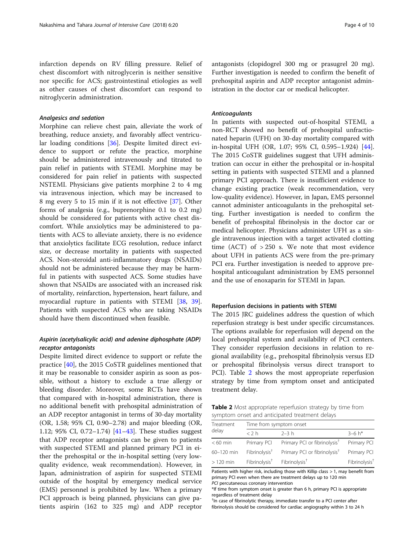infarction depends on RV filling pressure. Relief of chest discomfort with nitroglycerin is neither sensitive nor specific for ACS; gastrointestinal etiologies as well as other causes of chest discomfort can respond to nitroglycerin administration.

#### Analgesics and sedation

Morphine can relieve chest pain, alleviate the work of breathing, reduce anxiety, and favorably affect ventricular loading conditions [[36\]](#page-8-0). Despite limited direct evidence to support or refute the practice, morphine should be administered intravenously and titrated to pain relief in patients with STEMI. Morphine may be considered for pain relief in patients with suspected NSTEMI. Physicians give patients morphine 2 to 4 mg via intravenous injection, which may be increased to 8 mg every 5 to 15 min if it is not effective [\[37](#page-8-0)]. Other forms of analgesia (e.g., buprenorphine 0.1 to 0.2 mg) should be considered for patients with active chest discomfort. While anxiolytics may be administered to patients with ACS to alleviate anxiety, there is no evidence that anxiolytics facilitate ECG resolution, reduce infarct size, or decrease mortality in patients with suspected ACS. Non-steroidal anti-inflammatory drugs (NSAIDs) should not be administered because they may be harmful in patients with suspected ACS. Some studies have shown that NSAIDs are associated with an increased risk of mortality, reinfarction, hypertension, heart failure, and myocardial rupture in patients with STEMI [[38,](#page-8-0) [39](#page-8-0)]. Patients with suspected ACS who are taking NSAIDs should have them discontinued when feasible.

## Aspirin (acetylsalicylic acid) and adenine diphosphate (ADP) receptor antagonists

Despite limited direct evidence to support or refute the practice [[40\]](#page-8-0), the 2015 CoSTR guidelines mentioned that it may be reasonable to consider aspirin as soon as possible, without a history to exclude a true allergy or bleeding disorder. Moreover, some RCTs have shown that compared with in-hospital administration, there is no additional benefit with prehospital administration of an ADP receptor antagonist in terms of 30-day mortality (OR, 1.58; 95% CI, 0.90–2.78) and major bleeding (OR, 1.12; 95% CI, 0.72–1.74) [[41](#page-8-0)–[43](#page-8-0)]. These studies suggest that ADP receptor antagonists can be given to patients with suspected STEMI and planned primary PCI in either the prehospital or the in-hospital setting (very lowquality evidence, weak recommendation). However, in Japan, administration of aspirin for suspected STEMI outside of the hospital by emergency medical service (EMS) personnel is prohibited by law. When a primary PCI approach is being planned, physicians can give patients aspirin (162 to 325 mg) and ADP receptor

antagonists (clopidogrel 300 mg or prasugrel 20 mg). Further investigation is needed to confirm the benefit of prehospital aspirin and ADP receptor antagonist administration in the doctor car or medical helicopter.

#### Anticoagulants

In patients with suspected out-of-hospital STEMI, a non-RCT showed no benefit of prehospital unfractionated heparin (UFH) on 30-day mortality compared with in-hospital UFH (OR, 1.07; 95% CI, 0.595–1.924) [\[44](#page-8-0)]. The 2015 CoSTR guidelines suggest that UFH administration can occur in either the prehospital or in-hospital setting in patients with suspected STEMI and a planned primary PCI approach. There is insufficient evidence to change existing practice (weak recommendation, very low-quality evidence). However, in Japan, EMS personnel cannot administer anticoagulants in the prehospital setting. Further investigation is needed to confirm the benefit of prehospital fibrinolysis in the doctor car or medical helicopter. Physicians administer UFH as a single intravenous injection with a target activated clotting time (ACT) of  $>250$  s. We note that most evidence about UFH in patients ACS were from the pre-primary PCI era. Further investigation is needed to approve prehospital anticoagulant administration by EMS personnel and the use of enoxaparin for STEMI in Japan.

## Reperfusion decisions in patients with STEMI

The 2015 JRC guidelines address the question of which reperfusion strategy is best under specific circumstances. The options available for reperfusion will depend on the local prehospital system and availability of PCI centers. They consider reperfusion decisions in relation to regional availability (e.g., prehospital fibrinolysis versus ED or prehospital fibrinolysis versus direct transport to PCI). Table 2 shows the most appropriate reperfusion strategy by time from symptom onset and anticipated treatment delay.

Table 2 Most appropriate reperfusion strategy by time from symptom onset and anticipated treatment delays

| Treatment  | Time from symptom onset   |                                          |                           |  |  |  |  |
|------------|---------------------------|------------------------------------------|---------------------------|--|--|--|--|
| delay      | $<$ 2 h                   | $2 - 3 h$                                | $3-6h*$                   |  |  |  |  |
| $< 60$ min | Primary PCI               | Primary PCI or fibrinolysis <sup>†</sup> | Primary PCI               |  |  |  |  |
| 60-120 min | Fibrinolysis <sup>†</sup> | Primary PCI or fibrinolysis <sup>†</sup> | Primary PCI               |  |  |  |  |
| $>120$ min | Fibrinolysis <sup>†</sup> | Fibrinolysis <sup>+</sup>                | Fibrinolysis <sup>+</sup> |  |  |  |  |

Patients with higher risk, including those with Killip class > 1, may benefit from primary PCI even when there are treatment delays up to 120 min PCI percutaneous coronary intervention

\*If time from symptom onset is greater than 6 h, primary PCI is appropriate regardless of treatment delay

† In case of fibrinolytic therapy, immediate transfer to a PCI center after fibrinolysis should be considered for cardiac angiography within 3 to 24 h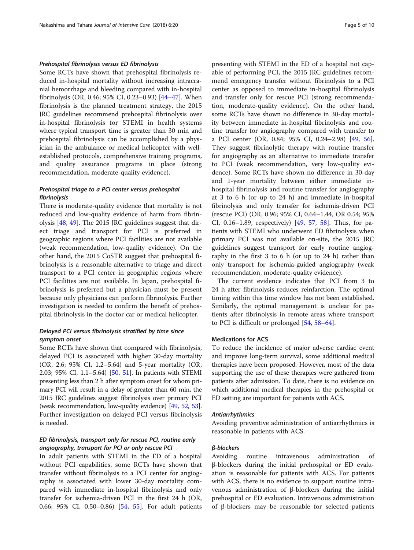#### Prehospital fibrinolysis versus ED fibrinolysis

Some RCTs have shown that prehospital fibrinolysis reduced in-hospital mortality without increasing intracranial hemorrhage and bleeding compared with in-hospital fibrinolysis (OR, 0.46; 95% CI, 0.23–0.93) [[44](#page-8-0)–[47](#page-8-0)]. When fibrinolysis is the planned treatment strategy, the 2015 JRC guidelines recommend prehospital fibrinolysis over in-hospital fibrinolysis for STEMI in health systems where typical transport time is greater than 30 min and prehospital fibrinolysis can be accomplished by a physician in the ambulance or medical helicopter with wellestablished protocols, comprehensive training programs, and quality assurance programs in place (strong recommendation, moderate-quality evidence).

## Prehospital triage to a PCI center versus prehospital fibrinolysis

There is moderate-quality evidence that mortality is not reduced and low-quality evidence of harm from fibrinolysis [\[48](#page-8-0), [49](#page-8-0)]. The 2015 JRC guidelines suggest that direct triage and transport for PCI is preferred in geographic regions where PCI facilities are not available (weak recommendation, low-quality evidence). On the other hand, the 2015 CoSTR suggest that prehospital fibrinolysis is a reasonable alternative to triage and direct transport to a PCI center in geographic regions where PCI facilities are not available. In Japan, prehospital fibrinolysis is preferred but a physician must be present because only physicians can perform fibrinolysis. Further investigation is needed to confirm the benefit of prehospital fibrinolysis in the doctor car or medical helicopter.

## Delayed PCI versus fibrinolysis stratified by time since symptom onset

Some RCTs have shown that compared with fibrinolysis, delayed PCI is associated with higher 30-day mortality (OR, 2.6; 95% CI, 1.2–5.64) and 5-year mortality (OR, 2.03; 95% CI, 1.1–5.64) [[50](#page-8-0), [51](#page-8-0)]. In patients with STEMI presenting less than 2 h after symptom onset for whom primary PCI will result in a delay of greater than 60 min, the 2015 JRC guidelines suggest fibrinolysis over primary PCI (weak recommendation, low-quality evidence) [\[49,](#page-8-0) [52](#page-8-0), [53](#page-8-0)]. Further investigation on delayed PCI versus fibrinolysis is needed.

## ED fibrinolysis, transport only for rescue PCI, routine early angiography, transport for PCI or only rescue PCI

In adult patients with STEMI in the ED of a hospital without PCI capabilities, some RCTs have shown that transfer without fibrinolysis to a PCI center for angiography is associated with lower 30-day mortality compared with immediate in-hospital fibrinolysis and only transfer for ischemia-driven PCI in the first 24 h (OR, 0.66; 95% CI, 0.50–0.86) [[54](#page-8-0), [55](#page-8-0)]. For adult patients presenting with STEMI in the ED of a hospital not capable of performing PCI, the 2015 JRC guidelines recommend emergency transfer without fibrinolysis to a PCI center as opposed to immediate in-hospital fibrinolysis and transfer only for rescue PCI (strong recommendation, moderate-quality evidence). On the other hand, some RCTs have shown no difference in 30-day mortality between immediate in-hospital fibrinolysis and routine transfer for angiography compared with transfer to a PCI center (OR, 0.84; 95% CI, 0.24–2.98) [\[49,](#page-8-0) [56](#page-8-0)]. They suggest fibrinolytic therapy with routine transfer for angiography as an alternative to immediate transfer to PCI (weak recommendation, very low-quality evidence). Some RCTs have shown no difference in 30-day and 1-year mortality between either immediate inhospital fibrinolysis and routine transfer for angiography at 3 to 6 h (or up to 24 h) and immediate in-hospital fibrinolysis and only transfer for ischemia-driven PCI (rescue PCI) (OR, 0.96; 95% CI, 0.64–1.44, OR 0.54; 95% CI, 0.16–1.89, respectively) [\[49,](#page-8-0) [57,](#page-8-0) [58\]](#page-8-0). Thus, for patients with STEMI who underwent ED fibrinolysis when primary PCI was not available on-site, the 2015 JRC guidelines suggest transport for early routine angiography in the first 3 to 6 h (or up to 24 h) rather than only transport for ischemia-guided angiography (weak recommendation, moderate-quality evidence).

The current evidence indicates that PCI from 3 to 24 h after fibrinolysis reduces reinfarction. The optimal timing within this time window has not been established. Similarly, the optimal management is unclear for patients after fibrinolysis in remote areas where transport to PCI is difficult or prolonged [\[54](#page-8-0), [58](#page-8-0)–[64\]](#page-8-0).

## Medications for ACS

To reduce the incidence of major adverse cardiac event and improve long-term survival, some additional medical therapies have been proposed. However, most of the data supporting the use of these therapies were gathered from patients after admission. To date, there is no evidence on which additional medical therapies in the prehospital or ED setting are important for patients with ACS.

#### Antiarrhythmics

Avoiding preventive administration of antiarrhythmics is reasonable in patients with ACS.

## β-blockers

Avoiding routine intravenous administration of β-blockers during the initial prehospital or ED evaluation is reasonable for patients with ACS. For patients with ACS, there is no evidence to support routine intravenous administration of β-blockers during the initial prehospital or ED evaluation. Intravenous administration of β-blockers may be reasonable for selected patients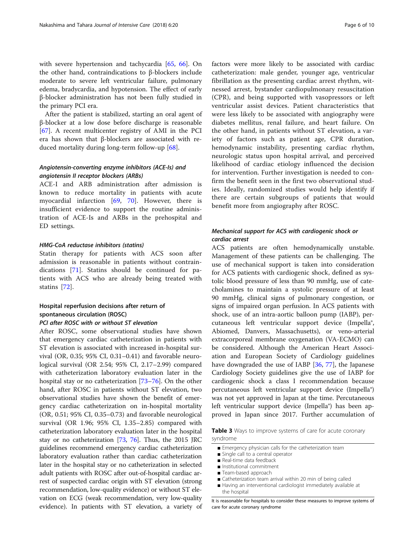<span id="page-5-0"></span>with severe hypertension and tachycardia [[65,](#page-8-0) [66](#page-8-0)]. On the other hand, contraindications to β-blockers include moderate to severe left ventricular failure, pulmonary edema, bradycardia, and hypotension. The effect of early β-blocker administration has not been fully studied in the primary PCI era.

After the patient is stabilized, starting an oral agent of β-blocker at a low dose before discharge is reasonable [[67\]](#page-8-0). A recent multicenter registry of AMI in the PCI era has shown that β-blockers are associated with reduced mortality during long-term follow-up [\[68](#page-8-0)].

## Angiotensin-converting enzyme inhibitors (ACE-Is) and angiotensin II receptor blockers (ARBs)

ACE-I and ARB administration after admission is known to reduce mortality in patients with acute myocardial infarction [[69,](#page-8-0) [70](#page-8-0)]. However, there is insufficient evidence to support the routine administration of ACE-Is and ARBs in the prehospital and ED settings.

## HMG-CoA reductase inhibitors (statins)

Statin therapy for patients with ACS soon after admission is reasonable in patients without contraindications [[71\]](#page-8-0). Statins should be continued for patients with ACS who are already being treated with statins [[72\]](#page-8-0).

# Hospital reperfusion decisions after return of spontaneous circulation (ROSC)

## PCI after ROSC with or without ST elevation

After ROSC, some observational studies have shown that emergency cardiac catheterization in patients with ST elevation is associated with increased in-hospital survival (OR, 0.35; 95% CI, 0.31–0.41) and favorable neurological survival (OR 2.54; 95% CI, 2.17–2.99) compared with catheterization laboratory evaluation later in the hospital stay or no catheterization [[73](#page-8-0)–[76](#page-9-0)]. On the other hand, after ROSC in patients without ST elevation, two observational studies have shown the benefit of emergency cardiac catheterization on in-hospital mortality (OR, 0.51; 95% CI, 0.35–0.73) and favorable neurological survival (OR 1.96; 95% CI, 1.35–2.85) compared with catheterization laboratory evaluation later in the hospital stay or no catheterization [\[73,](#page-8-0) [76](#page-9-0)]. Thus, the 2015 JRC guidelines recommend emergency cardiac catheterization laboratory evaluation rather than cardiac catheterization later in the hospital stay or no catheterization in selected adult patients with ROSC after out-of-hospital cardiac arrest of suspected cardiac origin with ST elevation (strong recommendation, low-quality evidence) or without ST elevation on ECG (weak recommendation, very low-quality evidence). In patients with ST elevation, a variety of

factors were more likely to be associated with cardiac catheterization: male gender, younger age, ventricular fibrillation as the presenting cardiac arrest rhythm, witnessed arrest, bystander cardiopulmonary resuscitation (CPR), and being supported with vasopressors or left ventricular assist devices. Patient characteristics that were less likely to be associated with angiography were diabetes mellitus, renal failure, and heart failure. On the other hand, in patients without ST elevation, a variety of factors such as patient age, CPR duration, hemodynamic instability, presenting cardiac rhythm, neurologic status upon hospital arrival, and perceived likelihood of cardiac etiology influenced the decision for intervention. Further investigation is needed to confirm the benefit seen in the first two observational studies. Ideally, randomized studies would help identify if there are certain subgroups of patients that would benefit more from angiography after ROSC.

## Mechanical support for ACS with cardiogenic shock or cardiac arrest

ACS patients are often hemodynamically unstable. Management of these patients can be challenging. The use of mechanical support is taken into consideration for ACS patients with cardiogenic shock, defined as systolic blood pressure of less than 90 mmHg, use of catecholamines to maintain a systolic pressure of at least 90 mmHg, clinical signs of pulmonary congestion, or signs of impaired organ perfusion. In ACS patients with shock, use of an intra-aortic balloon pump (IABP), percutaneous left ventricular support device (Impella®, Abiomed, Danvers, Massachusetts), or veno-arterial extracorporeal membrane oxygenation (VA-ECMO) can be considered. Although the American Heart Association and European Society of Cardiology guidelines have downgraded the use of IABP [\[36](#page-8-0), [77](#page-9-0)], the Japanese Cardiology Society guidelines give the use of IABP for cardiogenic shock a class I recommendation because percutaneous left ventricular support device (Impella®) was not yet approved in Japan at the time. Percutaneous left ventricular support device (Impella®) has been approved in Japan since 2017. Further accumulation of

Table 3 Ways to improve systems of care for acute coronary syndrome

- Emergency physician calls for the catheterization team
- Single call to a central operator
- Real-time data feedback
- Institutional commitment
- Team-based approach
- Catheterization team arrival within 20 min of being called
- Having an interventional cardiologist immediately available at the hospital

It is reasonable for hospitals to consider these measures to improve systems of care for acute coronary syndrome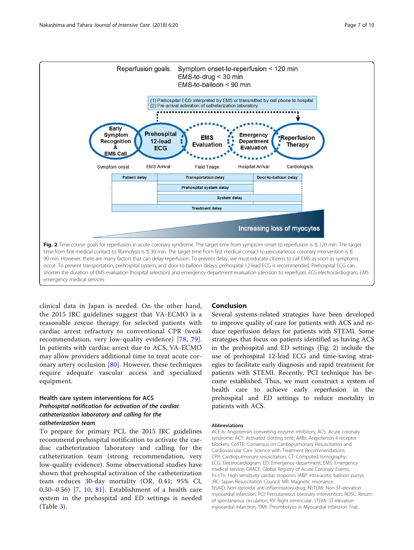

clinical data in Japan is needed. On the other hand, the 2015 JRC guidelines suggest that VA-ECMO is a reasonable rescue therapy for selected patients with cardiac arrest refractory to conventional CPR (weak recommendation, very low-quality evidence) [[78](#page-9-0), [79](#page-9-0)]. In patients with cardiac arrest due to ACS, VA-ECMO may allow providers additional time to treat acute coronary artery occlusion [\[80](#page-9-0)]. However, these techniques require adequate vascular access and specialized equipment.

## Health care system interventions for ACS Prehospital notification for activation of the cardiac catheterization laboratory and calling for the catheterization team

To prepare for primary PCI, the 2015 JRC guidelines recommend prehospital notification to activate the cardiac catheterization laboratory and calling for the catheterization team (strong recommendation, very low-quality evidence). Some observational studies have shown that prehospital activation of the catheterization team reduces 30-day mortality (OR, 0.41; 95% CI, 0.30–0.56) [[7,](#page-7-0) [10,](#page-7-0) [81](#page-9-0)]. Establishment of a health care system in the prehospital and ED settings is needed (Table [3\)](#page-5-0).

## Conclusion

Several systems-related strategies have been developed to improve quality of care for patients with ACS and reduce reperfusion delays for patients with STEMI. Some strategies that focus on patients identified as having ACS in the prehospital and ED settings (Fig. 2) include the use of prehospital 12-lead ECG and time-saving strategies to facilitate early diagnosis and rapid treatment for patients with STEMI. Recently, PCI technique has become established. Thus, we must construct a system of health care to achieve early reperfusion in the prehospital and ED settings to reduce mortality in patients with ACS.

#### Abbreviations

ACE-Is: Angiotensin-converting enzyme inhibitors; ACS: Acute coronary syndrome; ACT: Activated clotting time; ARBs: Angiotensin II receptor blockers; CoSTR: Consensus on Cardiopulmonary Resuscitation and Cardiovascular Care Science with Treatment Recommendations; CPR: Cardiopulmonary resuscitation; CT: Computed tomography; ECG: Electrocardiogram; ED: Emergency department; EMS: Emergency medical service; GRACE: Global Registry of Acute Coronary Events; hs-cTn: High-sensitivity cardiac troponin; IABP: Intra-aortic balloon pump; JRC: Japan Resuscitation Council; MR: Magnetic resonance; NSAID: Non-steroidal anti-inflammatory drug; NSTEMI: Non-ST-elevation myocardial infarction; PCI: Percutaneous coronary intervention; ROSC: Return of spontaneous circulation; RV: Right ventricular; STEMI: ST-elevation myocardial infarction; TIMI: Thrombolysis in Myocardial Infarction Trial;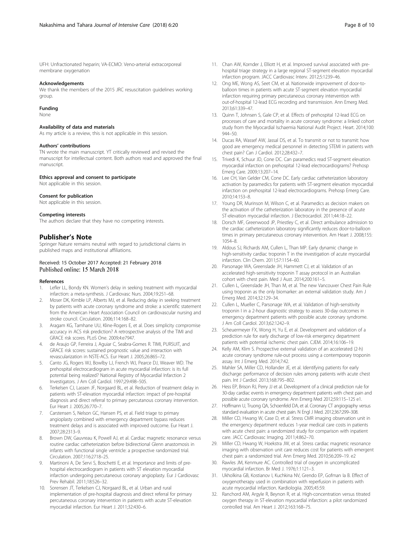#### <span id="page-7-0"></span>Acknowledgements

We thank the members of the 2015 JRC resuscitation guidelines working group.

#### Funding

None

#### Availability of data and materials

As my article is a review, this is not applicable in this session.

#### Authors' contributions

TN wrote the main manuscript. YT critically reviewed and revised the manuscript for intellectual content. Both authors read and approved the final manuscript.

#### Ethics approval and consent to participate

Not applicable in this session.

#### Consent for publication

Not applicable in this session.

#### Competing interests

The authors declare that they have no competing interests.

## Publisher's Note

Springer Nature remains neutral with regard to jurisdictional claims in published maps and institutional affiliations.

## Received: 15 October 2017 Accepted: 21 February 2018 Published online: 15 March 2018

#### References

- 1. Lefler LL, Bondy KN. Women's delay in seeking treatment with myocardial infarction: a meta-synthesis. J Cardiovasc Nurs. 2004;19:251–68.
- Moser DK, Kimble LP, Alberts MJ, et al. Reducing delay in seeking treatment by patients with acute coronary syndrome and stroke: a scientific statement from the American Heart Association Council on cardiovascular nursing and stroke council. Circulation. 2006;114:168–82.
- 3. Aragam KG, Tamhane UU, Kline-Rogers E, et al. Does simplicity compromise accuracy in ACS risk prediction? A retrospective analysis of the TIMI and GRACE risk scores. PLoS One. 2009;4:e7947.
- 4. de Araujo GP, Ferreira J, Aguiar C, Seabra-Gomes R. TIMI, PURSUIT, and GRACE risk scores: sustained prognostic value and interaction with revascularization in NSTE-ACS. Eur Heart J. 2005;26:865–72.
- Canto JG, Rogers WJ, Bowlby LJ, French WJ, Pearce DJ, Weaver WD. The prehospital electrocardiogram in acute myocardial infarction: is its full potential being realized? National Registry of Myocardial Infarction 2 Investigators. J Am Coll Cardiol. 1997;29:498–505.
- 6. Terkelsen CJ, Lassen JF, Norgaard BL, et al. Reduction of treatment delay in patients with ST-elevation myocardial infarction: impact of pre-hospital diagnosis and direct referral to primary percutanous coronary intervention. Eur Heart J. 2005;26:770–7.
- 7. Carstensen S, Nelson GC, Hansen PS, et al. Field triage to primary angioplasty combined with emergency department bypass reduces treatment delays and is associated with improved outcome. Eur Heart J. 2007;28:2313–9.
- Brown DW, Gauvreau K, Powell AJ, et al. Cardiac magnetic resonance versus routine cardiac catheterization before bidirectional Glenn anastomosis in infants with functional single ventricle: a prospective randomized trial. Circulation. 2007;116:2718–25.
- 9. Martinoni A, De Servi S, Boschetti E, et al. Importance and limits of prehospital electrocardiogram in patients with ST elevation myocardial infarction undergoing percutaneous coronary angioplasty. Eur J Cardiovasc Prev Rehabil. 2011;18:526–32.
- 10. Sorensen JT, Terkelsen CJ, Norgaard BL, et al. Urban and rural implementation of pre-hospital diagnosis and direct referral for primary percutaneous coronary intervention in patients with acute ST-elevation myocardial infarction. Eur Heart J. 2011;32:430–6.
- 11. Chan AW, Kornder J, Elliott H, et al. Improved survival associated with prehospital triage strategy in a large regional ST-segment elevation myocardial infarction program. JACC Cardiovasc Interv. 2012;5:1239–46.
- 12. Ong ME, Wong AS, Seet CM, et al. Nationwide improvement of door-toballoon times in patients with acute ST-segment elevation myocardial infarction requiring primary percutaneous coronary intervention with out-of-hospital 12-lead ECG recording and transmission. Ann Emerg Med. 2013;61:339–47.
- 13. Quinn T, Johnsen S, Gale CP, et al. Effects of prehospital 12-lead ECG on processes of care and mortality in acute coronary syndrome: a linked cohort study from the Myocardial Ischaemia National Audit Project. Heart. 2014;100: 944–50.
- 14. Ducas RA, Wassef AW, Jassal DS, et al. To transmit or not to transmit: how good are emergency medical personnel in detecting STEMI in patients with chest pain? Can J Cardiol. 2012;28:432–7.
- 15. Trivedi K, Schuur JD, Cone DC. Can paramedics read ST-segment elevation myocardial infarction on prehospital 12-lead electrocardiograms? Prehosp Emerg Care. 2009;13:207–14.
- 16. Lee CH, Van Gelder CM, Cone DC. Early cardiac catheterization laboratory activation by paramedics for patients with ST-segment elevation myocardial infarction on prehospital 12-lead electrocardiograms. Prehosp Emerg Care. 2010;14:153–8.
- 17. Young DR, Murinson M, Wilson C, et al. Paramedics as decision makers on the activation of the catheterization laboratory in the presence of acute ST-elevation myocardial infarction. J Electrocardiol. 2011;44:18–22.
- 18. Dorsch MF, Greenwood JP, Priestley C, et al. Direct ambulance admission to the cardiac catheterization laboratory significantly reduces door-to-balloon times in primary percutaneous coronary intervention. Am Heart J. 2008;155: 1054–8.
- 19. Aldous SJ, Richards AM, Cullen L, Than MP. Early dynamic change in high-sensitivity cardiac troponin T in the investigation of acute myocardial infarction. Clin Chem. 2011;57:1154–60.
- 20. Parsonage WA, Greenslade JH, Hammett CJ, et al. Validation of an accelerated high-sensitivity troponin T assay protocol in an Australian cohort with chest pain. Med J Aust. 2014;200:161–5.
- 21. Cullen L, Greenslade JH, Than M, et al. The new Vancouver Chest Pain Rule using troponin as the only biomarker: an external validation study. Am J Emerg Med. 2014;32:129–34.
- 22. Cullen L, Mueller C, Parsonage WA, et al. Validation of high-sensitivity troponin I in a 2-hour diagnostic strategy to assess 30-day outcomes in emergency department patients with possible acute coronary syndrome. J Am Coll Cardiol. 2013;62:1242–9.
- 23. Scheuermeyer FX, Wong H, Yu E, et al. Development and validation of a prediction rule for early discharge of low-risk emergency department patients with potential ischemic chest pain. CJEM. 2014;16:106–19.
- 24. Kelly AM, Klim S. Prospective external validation of an accelerated (2-h) acute coronary syndrome rule-out process using a contemporary troponin assay. Int J Emerg Med. 2014;7:42.
- 25. Mahler SA, Miller CD, Hollander JE, et al. Identifying patients for early discharge: performance of decision rules among patients with acute chest pain. Int J Cardiol. 2013;168:795–802.
- 26. Hess EP, Brison RJ, Perry JJ et al. Development of a clinical prediction rule for 30-day cardiac events in emergency department patients with chest pain and possible acute coronary syndrome. Ann Emerg Med 2012;59:115–125 e1.
- 27. Hoffmann U, Truong QA, Schoenfeld DA, et al. Coronary CT angiography versus standard evaluation in acute chest pain. N Engl J Med. 2012;367:299–308.
- 28. Miller CD, Hwang W, Case D, et al. Stress CMR imaging observation unit in the emergency department reduces 1-year medical care costs in patients with acute chest pain: a randomized study for comparison with inpatient care. JACC Cardiovasc Imaging. 2011;4:862–70.
- 29. Miller CD, Hwang W, Hoekstra JW, et al. Stress cardiac magnetic resonance imaging with observation unit care reduces cost for patients with emergent chest pain: a randomized trial. Ann Emerg Med. 2010;56:209–19. e2
- 30. Rawles JM, Kenmure AC. Controlled trial of oxygen in uncomplicated myocardial infarction. Br Med J. 1976;1:1121–3.
- 31. Ukholkina GB, Kostianov I, Kuchkina NV, Grendo EP, Gofman Ia B. Effect of oxygenotherapy used in combination with reperfusion in patients with acute myocardial infarction. Kardiologiia. 2005;45:59.
- 32. Ranchord AM, Argyle R, Beynon R, et al. High-concentration versus titrated oxygen therapy in ST-elevation myocardial infarction: a pilot randomized controlled trial. Am Heart J. 2012;163:168–75.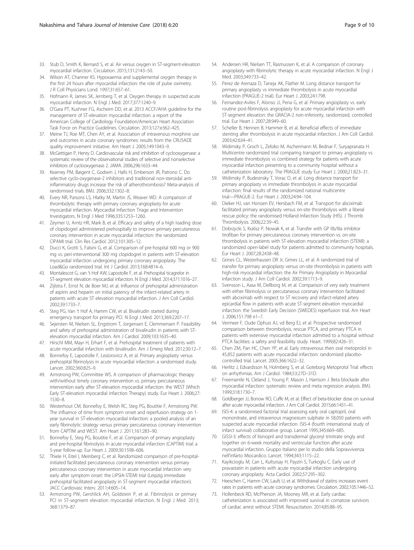- <span id="page-8-0"></span>33. Stub D, Smith K, Bernard S, et al. Air versus oxygen in ST-segment-elevation myocardial infarction. Circulation. 2015;131:2143–50.
- 34. Wilson AT, Channer KS. Hypoxaemia and supplemental oxygen therapy in the first 24 hours after myocardial infarction: the role of pulse oximetry. J R Coll Physicians Lond. 1997;31:657–61.
- 35. Hofmann R, James SK, Jernberg T, et al. Oxygen therapy in suspected acute myocardial infarction. N Engl J Med. 2017;377:1240–9.
- 36. O'Gara PT, Kushner FG, Ascheim DD, et al. 2013 ACCF/AHA guideline for the management of ST-elevation myocardial infarction: a report of the American College of Cardiology Foundation/American Heart Association Task Force on Practice Guidelines. Circulation. 2013;127:e362–425.
- 37. Meine TJ, Roe MT, Chen AY, et al. Association of intravenous morphine use and outcomes in acute coronary syndromes: results from the CRUSADE quality improvement initiative. Am Heart J. 2005;149:1043–9.
- 38. McGettigan P, Henry D. Cardiovascular risk and inhibition of cyclooxygenase: a systematic review of the observational studies of selective and nonselective inhibitors of cyclooxygenase 2. JAMA. 2006;296:1633–44.
- 39. Kearney PM, Baigent C, Godwin J, Halls H, Emberson JR, Patrono C. Do selective cyclo-oxygenase-2 inhibitors and traditional non-steroidal antiinflammatory drugs increase the risk of atherothrombosis? Meta-analysis of randomised trials. BMJ. 2006;332:1302–8.
- 40. Every NR, Parsons LS, Hlatky M, Martin JS, Weaver WD. A comparison of thrombolytic therapy with primary coronary angioplasty for acute myocardial infarction. Myocardial Infarction Triage and Intervention Investigators. N Engl J Med 1996;335:1253–1260.
- 41. Zeymer U, Arntz HR, Mark B, et al. Efficacy and safety of a high loading dose of clopidogrel administered prehospitally to improve primary percutaneous coronary intervention in acute myocardial infarction: the randomized CIPAMI trial. Clin Res Cardiol. 2012;101:305–12.
- 42. Ducci K, Grotti S, Falsini G, et al. Comparison of pre-hospital 600 mg or 900 mg vs. peri-interventional 300 mg clopidogrel in patients with ST-elevation myocardial infarction undergoing primary coronary angioplasty. The Load&Go randomized trial. Int J Cardiol. 2013;168:4814–6.
- 43. Montalescot G, van 't Hof AW, Lapostolle F, et al. Prehospital ticagrelor in ST-segment elevation myocardial infarction. N Engl J Med. 2014;371:1016–27.
- 44. Zijlstra F, Ernst N, de Boer MJ, et al. Influence of prehospital administration of aspirin and heparin on initial patency of the infarct-related artery in patients with acute ST elevation myocardial infarction. J Am Coll Cardiol. 2002;39:1733–7.
- 45. Steg PG, Van 't Hof A, Hamm CW, et al. Bivalirudin started during emergency transport for primary PCI. N Engl J Med. 2013;369:2207–17.
- 46. Sejersten M, Nielsen SL, Engstrom T, Jorgensen E, Clemmensen P. Feasibility and safety of prehospital administration of bivalirudin in patients with STelevation myocardial infarction. Am J Cardiol. 2009;103:1635–40.
- 47. Hirschl MM, Mayr H, Erhart F, et al. Prehospital treatment of patients with acute myocardial infarction with bivalirudin. Am J Emerg Med. 2012;30:12–7.
- 48. Bonnefoy E, Lapostolle F, Leizorovicz A, et al. Primary angioplasty versus prehospital fibrinolysis in acute myocardial infarction: a randomised study. Lancet. 2002;360:825–9.
- 49. Armstrong PW, Committee WS. A comparison of pharmacologic therapy with/without timely coronary intervention vs. primary percutaneous intervention early after ST-elevation myocardial infarction: the WEST (Which Early ST-elevation myocardial infarction Therapy) study. Eur Heart J. 2006;27: 1530–8.
- 50. Westerhout CM, Bonnefoy E, Welsh RC, Steg PG, Boutitie F, Armstrong PW. The influence of time from symptom onset and reperfusion strategy on 1 year survival in ST-elevation myocardial infarction: a pooled analysis of an early fibrinolytic strategy versus primary percutaneous coronary intervention from CAPTIM and WEST. Am Heart J. 2011;161:283–90.
- 51. Bonnefoy E, Steg PG, Boutitie F, et al. Comparison of primary angioplasty and pre-hospital fibrinolysis in acute myocardial infarction (CAPTIM) trial: a 5-year follow-up. Eur Heart J. 2009;30:1598–606.
- 52. Thiele H, Eitel I, Meinberg C, et al. Randomized comparison of pre-hospitalinitiated facilitated percutaneous coronary intervention versus primary percutaneous coronary intervention in acute myocardial infarction very early after symptom onset: the LIPSIA-STEMI trial (Leipzig immediate prehospital facilitated angioplasty in ST-segment myocardial infarction). JACC Cardiovasc Interv. 2011;4:605–14.
- 53. Armstrong PW, Gershlick AH, Goldstein P, et al. Fibrinolysis or primary PCI in ST-segment elevation myocardial infarction. N Engl J Med. 2013; 368:1379–87.
- 54. Andersen HR, Nielsen TT, Rasmussen K, et al. A comparison of coronary angioplasty with fibrinolytic therapy in acute myocardial infarction. N Engl J Med. 2003;349:733–42.
- 55. Perez de Arenaza D, Taneja AK, Flather M. Long distance transport for primary angioplasty vs immediate thrombolysis in acute myocardial infarction (PRAGUE-2 trial). Eur Heart J. 2003;24:1798.
- 56. Fernandez-Aviles F, Alonso JJ, Pena G, et al. Primary angioplasty vs. early routine post-fibrinolysis angioplasty for acute myocardial infarction with ST-segment elevation: the GRACIA-2 non-inferiority, randomized, controlled trial. Eur Heart J. 2007;28:949–60.
- 57. Scheller B, Hennen B, Hammer B, et al. Beneficial effects of immediate stenting after thrombolysis in acute myocardial infarction. J Am Coll Cardiol. 2003;42:634–41.
- 58. Widimsky P, Groch L, Zelizko M, Aschermann M, Bednar F, Suryapranata H. Multicentre randomized trial comparing transport to primary angioplasty vs immediate thrombolysis vs combined strategy for patients with acute myocardial infarction presenting to a community hospital without a catheterization laboratory. The PRAGUE study Eur Heart J. 2000;21:823–31.
- 59. Widimsky P, Budesinsky T, Vorac D, et al. Long distance transport for primary angioplasty vs immediate thrombolysis in acute myocardial infarction: final results of the randomized national multicentre trial—PRAGUE-2. Eur Heart J. 2003;24:94–104.
- 60. Dieker HJ, van Horssen EV, Hersbach FM, et al. Transport for abciximab facilitated primary angioplasty versus on-site thrombolysis with a liberal rescue policy: the randomised Holland Infarction Study (HIS). J Thromb Thrombolysis. 2006;22:39–45.
- 61. Dobrzycki S, Kralisz P, Nowak K, et al. Transfer with GP IIb/IIIa inhibitor tirofiban for primary percutaneous coronary intervention vs. on-site thrombolysis in patients with ST-elevation myocardial infarction (STEMI): a randomized open-label study for patients admitted to community hospitals. Eur Heart J. 2007;28:2438–48.
- 62. Grines CL, Westerhausen DR Jr, Grines LL, et al. A randomized trial of transfer for primary angioplasty versus on-site thrombolysis in patients with high-risk myocardial infarction: the Air Primary Angioplasty in Myocardial Infarction study. J Am Coll Cardiol. 2002;39:1713–9.
- 63. Svensson L, Aasa M, Dellborg M, et al. Comparison of very early treatment with either fibrinolysis or percutaneous coronary intervention facilitated with abciximab with respect to ST recovery and infarct-related artery epicardial flow in patients with acute ST-segment elevation myocardial infarction: the Swedish Early Decision (SWEDES) reperfusion trial. Am Heart J. 2006;151:798 e1–7.
- 64. Vermeer F, Oude Ophuis AJ, vd Berg EJ, et al. Prospective randomised comparison between thrombolysis, rescue PTCA, and primary PTCA in patients with extensive myocardial infarction admitted to a hospital without PTCA facilities: a safety and feasibility study. Heart. 1999;82:426–31.
- 65. Chen ZM, Pan HC, Chen YP, et al. Early intravenous then oral metoprolol in 45,852 patients with acute myocardial infarction: randomised placebocontrolled trial. Lancet. 2005;366:1622–32.
- 66. Herlitz J, Edvardsson N, Holmberg S, et al. Goteborg Metoprolol Trial: effects on arrhythmias. Am J Cardiol. 1984;53:27D–31D.
- 67. Freemantle N, Cleland J, Young P, Mason J, Harrison J. Beta blockade after myocardial infarction: systematic review and meta regression analysis. BMJ. 1999;318:1730–7.
- 68. Goldberger JJ, Bonow RO, Cuffe M, et al. Effect of beta-blocker dose on survival after acute myocardial infarction. J Am Coll Cardiol. 2015;66:1431–41.
- 69. ISIS-4: a randomised factorial trial assessing early oral captopril, oral mononitrate, and intravenous magnesium sulphate in 58,050 patients with suspected acute myocardial infarction. ISIS-4 (fourth international study of infarct survival) collaborative group. Lancet 1995;345:669–685.
- 70. GISSI-3: effects of lisinopril and transdermal glyceryl trinitrate singly and together on 6-week mortality and ventricular function after acute myocardial infarction. Gruppo Italiano per lo studio della Sopravvivenza nell'infarto Miocardico. Lancet. 1994;343:1115–22.
- 71. Kayikcioglu M, Can L, Kultursay H, Payzin S, Turkoglu C. Early use of pravastatin in patients with acute myocardial infarction undergoing coronary angioplasty. Acta Cardiol. 2002;57:295–302.
- 72. Heeschen C, Hamm CW, Laufs U, et al. Withdrawal of statins increases event rates in patients with acute coronary syndromes. Circulation. 2002;105:1446–52.
- 73. Hollenbeck RD, McPherson JA, Mooney MR, et al. Early cardiac catheterization is associated with improved survival in comatose survivors of cardiac arrest without STEMI. Resuscitation. 2014;85:88–95.